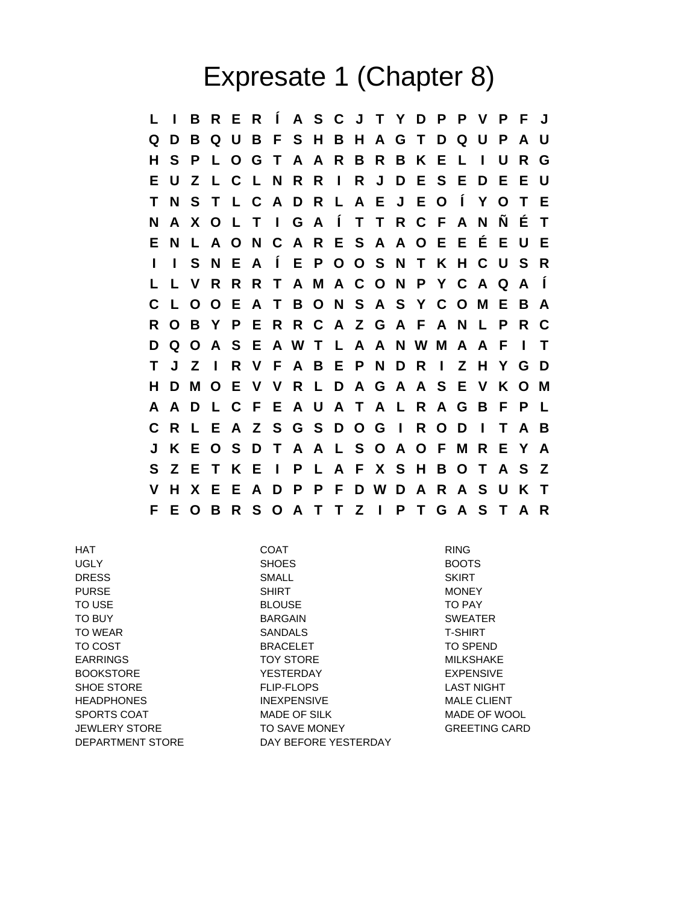## Expresate 1 (Chapter 8)

**L I B R E R Í A S C J T Y D P P V P F J Q D B Q U B F S H B H A G T D Q U P A U H S P L O G T A A R B R B K E L I U R G E U Z L C L N R R I R J D E S E D E E U T N S T L C A D R L A E J E O Í Y O T E N A X O L T I G A Í T T R C F A N Ñ É T E N L A O N C A R E S A A O E E É E U E I I S N E A Í E P O O S N T K H C U S R L L V R R R T A M A C O N P Y C A Q A Í C L O O E A T B O N S A S Y C O M E B A R O B Y P E R R C A Z G A F A N L P R C D Q O A S E A W T L A A N W M A A F I T T J Z I R V F A B E P N D R I Z H Y G D H D M O E V V R L D A G A A S E V K O M A A D L C F E A U A T A L R A G B F P L C R L E A Z S G S D O G I R O D I T A B J K E O S D T A A L S O A O F M R E Y A S Z E T K E I P L A F X S H B O T A S Z V H X E E A D P P F D W D A R A S U K T F E O B R S O A T T Z I P T G A S T A R**

UGLY SHOES BOOTS DRESS SMALL SKIRT PURSE NONEY SHIRT NONEY MONEY TO USE TO PAY A RESOUSE TO PAY TO BUY BARGAIN SWEATER TO WEAR GANNALS T-SHIRT TO COST **BRACELET BRACELET TO SPEND** EARRINGS TOY STORE MILKSHAKE BOOKSTORE THE YESTERDAY THE SEXPENSIVE SHOE STORE THE FLIP-FLOPS TO BE SHOE STORE TO BE STORE THAT THE FLIP-FLOPS **HEADPHONES** INEXPENSIVE MALE CLIENT SPORTS COAT **MADE OF SILK MADE OF WOOL** JEWLERY STORE TO SAVE MONEY GREETING CARD DEPARTMENT STORE DAY BEFORE YESTERDAY

HAT COAT RING